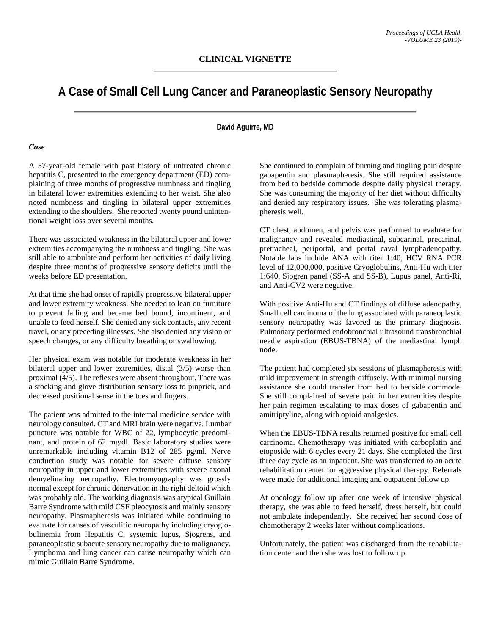# **A Case of Small Cell Lung Cancer and Paraneoplastic Sensory Neuropathy**

## **David Aguirre, MD**

### *Case*

A 57-year-old female with past history of untreated chronic hepatitis C, presented to the emergency department (ED) complaining of three months of progressive numbness and tingling in bilateral lower extremities extending to her waist. She also noted numbness and tingling in bilateral upper extremities extending to the shoulders. She reported twenty pound unintentional weight loss over several months.

There was associated weakness in the bilateral upper and lower extremities accompanying the numbness and tingling. She was still able to ambulate and perform her activities of daily living despite three months of progressive sensory deficits until the weeks before ED presentation.

At that time she had onset of rapidly progressive bilateral upper and lower extremity weakness. She needed to lean on furniture to prevent falling and became bed bound, incontinent, and unable to feed herself. She denied any sick contacts, any recent travel, or any preceding illnesses. She also denied any vision or speech changes, or any difficulty breathing or swallowing.

Her physical exam was notable for moderate weakness in her bilateral upper and lower extremities, distal (3/5) worse than proximal (4/5). The reflexes were absent throughout. There was a stocking and glove distribution sensory loss to pinprick, and decreased positional sense in the toes and fingers.

The patient was admitted to the internal medicine service with neurology consulted. CT and MRI brain were negative. Lumbar puncture was notable for WBC of 22, lymphocytic predominant, and protein of 62 mg/dl. Basic laboratory studies were unremarkable including vitamin B12 of 285 pg/ml. Nerve conduction study was notable for severe diffuse sensory neuropathy in upper and lower extremities with severe axonal demyelinating neuropathy. Electromyography was grossly normal except for chronic denervation in the right deltoid which was probably old. The working diagnosis was atypical Guillain Barre Syndrome with mild CSF pleocytosis and mainly sensory neuropathy. Plasmapheresis was initiated while continuing to evaluate for causes of vasculitic neuropathy including cryoglobulinemia from Hepatitis C, systemic lupus, Sjogrens, and paraneoplastic subacute sensory neuropathy due to malignancy. Lymphoma and lung cancer can cause neuropathy which can mimic Guillain Barre Syndrome.

She continued to complain of burning and tingling pain despite gabapentin and plasmapheresis. She still required assistance from bed to bedside commode despite daily physical therapy. She was consuming the majority of her diet without difficulty and denied any respiratory issues. She was tolerating plasmapheresis well.

CT chest, abdomen, and pelvis was performed to evaluate for malignancy and revealed mediastinal, subcarinal, precarinal, pretracheal, periportal, and portal caval lymphadenopathy. Notable labs include ANA with titer 1:40, HCV RNA PCR level of 12,000,000, positive Cryoglobulins, Anti-Hu with titer 1:640. Sjogren panel (SS-A and SS-B), Lupus panel, Anti-Ri, and Anti-CV2 were negative.

With positive Anti-Hu and CT findings of diffuse adenopathy, Small cell carcinoma of the lung associated with paraneoplastic sensory neuropathy was favored as the primary diagnosis. Pulmonary performed endobronchial ultrasound transbronchial needle aspiration (EBUS-TBNA) of the mediastinal lymph node.

The patient had completed six sessions of plasmapheresis with mild improvement in strength diffusely. With minimal nursing assistance she could transfer from bed to bedside commode. She still complained of severe pain in her extremities despite her pain regimen escalating to max doses of gabapentin and amitriptyline, along with opioid analgesics.

When the EBUS-TBNA results returned positive for small cell carcinoma. Chemotherapy was initiated with carboplatin and etoposide with 6 cycles every 21 days. She completed the first three day cycle as an inpatient. She was transferred to an acute rehabilitation center for aggressive physical therapy. Referrals were made for additional imaging and outpatient follow up.

At oncology follow up after one week of intensive physical therapy, she was able to feed herself, dress herself, but could not ambulate independently. She received her second dose of chemotherapy 2 weeks later without complications.

Unfortunately, the patient was discharged from the rehabilitation center and then she was lost to follow up.